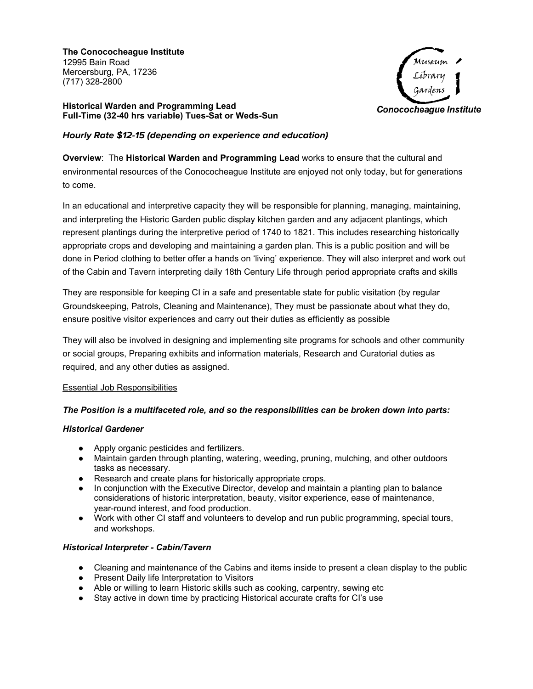**The Conococheague Institute** 12995 Bain Road Mercersburg, PA, 17236 (717) 328-2800



**Historical Warden and Programming Lead Full-Time (32-40 hrs variable) Tues-Sat or Weds-Sun**

# **Hourly Rate \$12-15 (depending on experience and education)**

**Overview**: The **Historical Warden and Programming Lead** works to ensure that the cultural and environmental resources of the Conococheague Institute are enjoyed not only today, but for generations to come.

In an educational and interpretive capacity they will be responsible for planning, managing, maintaining, and interpreting the Historic Garden public display kitchen garden and any adjacent plantings, which represent plantings during the interpretive period of 1740 to 1821. This includes researching historically appropriate crops and developing and maintaining a garden plan. This is a public position and will be done in Period clothing to better offer a hands on 'living' experience. They will also interpret and work out of the Cabin and Tavern interpreting daily 18th Century Life through period appropriate crafts and skills

They are responsible for keeping CI in a safe and presentable state for public visitation (by regular Groundskeeping, Patrols, Cleaning and Maintenance), They must be passionate about what they do, ensure positive visitor experiences and carry out their duties as efficiently as possible

They will also be involved in designing and implementing site programs for schools and other community or social groups, Preparing exhibits and information materials, Research and Curatorial duties as required, and any other duties as assigned.

## Essential Job Responsibilities

## *The Position is a multifaceted role, and so the responsibilities can be broken down into parts:*

## *Historical Gardener*

- Apply organic pesticides and fertilizers.
- Maintain garden through planting, watering, weeding, pruning, mulching, and other outdoors tasks as necessary.
- Research and create plans for historically appropriate crops.
- In conjunction with the Executive Director, develop and maintain a planting plan to balance considerations of historic interpretation, beauty, visitor experience, ease of maintenance, year-round interest, and food production.
- Work with other CI staff and volunteers to develop and run public programming, special tours, and workshops.

## *Historical Interpreter - Cabin/Tavern*

- Cleaning and maintenance of the Cabins and items inside to present a clean display to the public
- Present Daily life Interpretation to Visitors
- Able or willing to learn Historic skills such as cooking, carpentry, sewing etc
- Stay active in down time by practicing Historical accurate crafts for CI's use